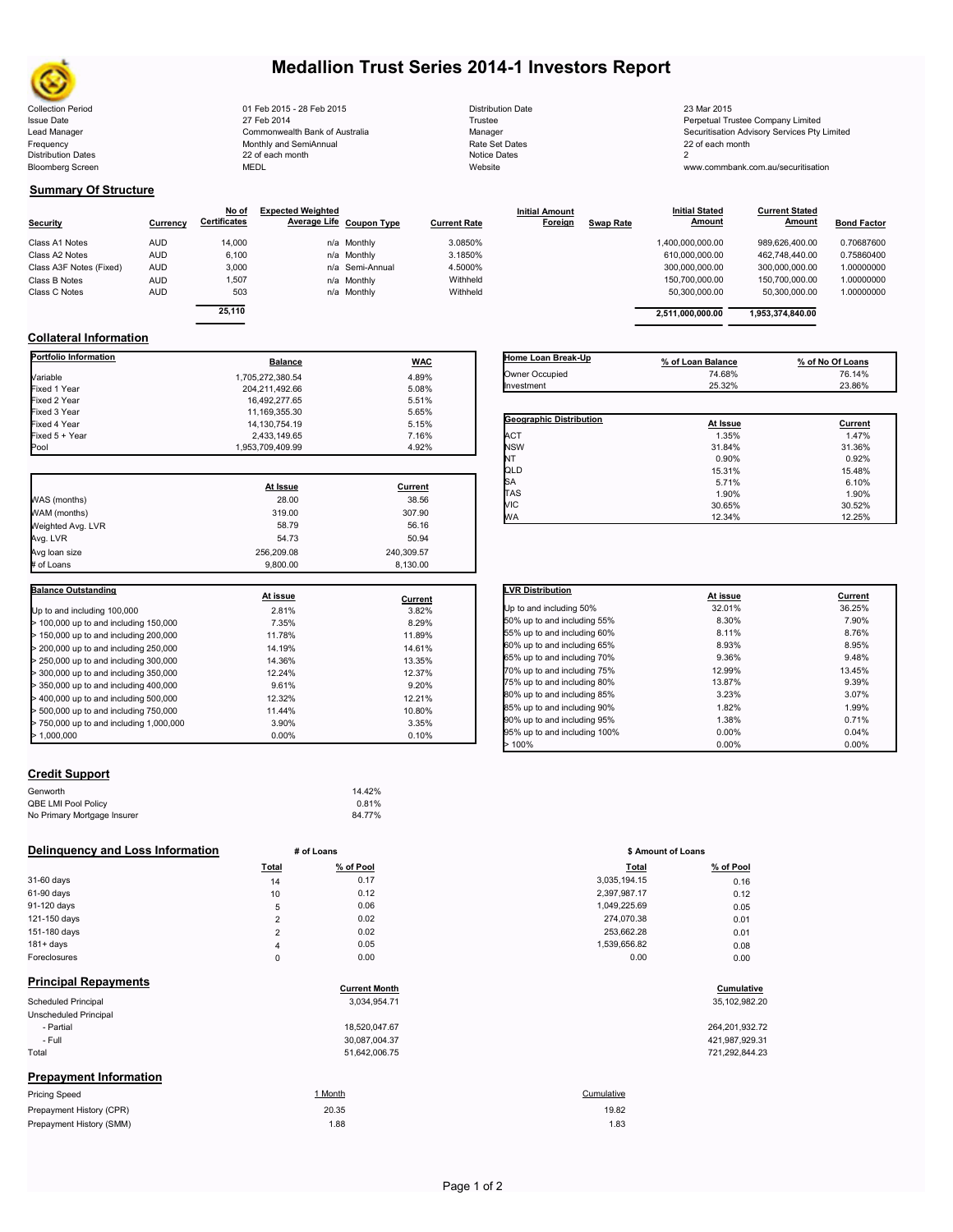# **Medallion Trust Series 2014-1 Investors Report**

Collection Period 23 Mar 2015 - 2015 - 2015 - 28 Feb 2015 2015 - 28 Mar 2015 - 28 Distribution Date 2015 - 23<br>Sisue Date 23 Mar 2015 - 23 Mar 2014 27 Feb 2014 - 29 Trustee 2014 - 2016 - 2014 - 2016 - 2014 - 2016 - 2017 F Frequency **Frequency Example 22** of each monthly and SemiAnnual Rate Set Dates 22<br>
22 of each month 22 of each month **Notice Dates Notice Dates** 22<br>
22 of each month  $22$  of each month Bloomberg Screen **MEDL** MEDL MEDL Website Website www.commbank.com.au/securitisation

Issue Date 2014 27 Feb 2014 27 Feb 2014<br>
27 Feb 2014 20 Commonwealth Bank of Australia<br>
27 Commonwealth Bank of Australia 2008 Manager 2008 2011 2012 2013 2014 2014 2016 2017 2017 2017 2017 2017 20 Lead Manager **Commonwealth Bank of Australia** Manager Manager Manager Securitisation Advisory Services Pty Limited<br>
Securitisation Advisory Services Pty Limited<br>
Frequency 22 of each month<br>
22 of each month

**Current Stated** 

## **Summary Of Structure**

**Collateral Information**

|                         |            | No of               | <b>Expected Weighted</b> |                     | <b>Initial Amount</b> |                  | <b>Initial Stated</b> | <b>Current Stated</b> |                    |
|-------------------------|------------|---------------------|--------------------------|---------------------|-----------------------|------------------|-----------------------|-----------------------|--------------------|
| <b>Security</b>         | Currency   | <b>Certificates</b> | Average Life Coupon Type | <b>Current Rate</b> | Foreign               | <b>Swap Rate</b> | Amount                | Amount                | <b>Bond Factor</b> |
| Class A1 Notes          | AUD        | 14.000              | n/a Monthly              | 3.0850%             |                       |                  | 1,400,000,000.00      | 989.626.400.00        | 0.70687600         |
| Class A2 Notes          | AUD        | 6.100               | n/a Monthly              | 3.1850%             |                       |                  | 610,000,000.00        | 462.748.440.00        | 0.75860400         |
| Class A3F Notes (Fixed) | <b>AUD</b> | 3.000               | n/a Semi-Annual          | 4.5000%             |                       |                  | 300.000.000.00        | 300.000.000.00        | 1.00000000         |
| Class B Notes           | AUD        | 1,507               | n/a Monthly              | Withheld            |                       |                  | 150,700,000.00        | 150.700.000.00        | 1.00000000         |
| Class C Notes           | AUD        | 503                 | n/a Monthly              | Withheld            |                       |                  | 50,300,000.00         | 50.300.000.00         | 1.00000000         |
|                         |            | 25.110              |                          |                     |                       |                  |                       |                       |                    |
|                         |            |                     |                          |                     |                       |                  | 2.511.000.000.00      | 1.953.374.840.00      |                    |

**Portfolio Information Balance Balance WAC** Variable 1,705,272,380.54 4.89% Fixed 1 Year 204,211,492.66 5.08% Fixed 2 Year 16,492,277.65 5.51% Fixed 3 Year 11,169,355.30 5.65% Fixed 4 Year 14,130,754.19 5.15%<br>Fixed 5 + Year 14,130,754.19 5.15% Fixed 5 + Year 2,433,149.65 7.16%

| Home Loan Break-Up             | % of Loan Balance | % of No Of Loans |
|--------------------------------|-------------------|------------------|
| Owner Occupied                 | 74.68%            | 76.14%           |
| Investment                     | 25.32%            | 23.86%           |
|                                |                   |                  |
| <b>Geographic Distribution</b> |                   |                  |
|                                | At Issue          | Current          |
| <b>ACT</b>                     | 1.35%             | 1.47%            |
| <b>NSW</b>                     | 31.84%            | 31.36%           |
| NT                             | 0.90%             | 0.92%            |
| QLD                            | 15.31%            | 15.48%           |
| SA                             | 5.71%             | 6.10%            |
| <b>TAS</b>                     | 1.90%             | 1.90%            |

WA 12.34% 12.25%

**Initial Stated** 

|                                         | At Issue   | Current    |
|-----------------------------------------|------------|------------|
| WAS (months)                            | 28.00      | 38.56      |
| WAM (months)                            | 319.00     | 307.90     |
| Weighted Avg. LVR                       | 58.79      | 56.16      |
| Avg. LVR                                | 54.73      | 50.94      |
| Avg loan size                           | 256.209.08 | 240.309.57 |
| # of Loans                              | 9.800.00   | 8.130.00   |
|                                         |            |            |
| <b>Balance Outstanding</b>              | At issue   | Current    |
| Up to and including 100,000             | 2.81%      | 3.82%      |
| $>$ 100,000 up to and including 150,000 | 7.35%      | 8.29%      |
| > 150,000 up to and including 200,000   | 11.78%     | 11.89%     |
|                                         |            |            |

1,953,709,409.99

|                                         |          | <u></u> |
|-----------------------------------------|----------|---------|
| Up to and including 100,000             | 2.81%    | 3.82%   |
| > 100,000 up to and including 150,000   | 7.35%    | 8.29%   |
| > 150,000 up to and including 200,000   | 11.78%   | 11.89%  |
| > 200,000 up to and including 250,000   | 14.19%   | 14.61%  |
| > 250,000 up to and including 300,000   | 14.36%   | 13.35%  |
| > 300,000 up to and including 350,000   | 12.24%   | 12.37%  |
| > 350,000 up to and including 400,000   | 9.61%    | 9.20%   |
| $>$ 400,000 up to and including 500,000 | 12.32%   | 12.21%  |
| > 500,000 up to and including 750,000   | 11.44%   | 10.80%  |
| > 750,000 up to and including 1,000,000 | 3.90%    | 3.35%   |
| > 1.000.000                             | $0.00\%$ | 0.10%   |
|                                         |          |         |

### **Credit Support**

Prepayment History (SMM)

| Genworth                    | 14.42% |
|-----------------------------|--------|
| QBE LMI Pool Policy         | 0.81%  |
| No Primary Mortgage Insurer | 84.77% |

## **Delinquency and Loss Information** # of Loans

|              | Total  | % of Pool | Total        | % of Pool |
|--------------|--------|-----------|--------------|-----------|
| 31-60 days   | 14     | 0.17      | 3,035,194.15 | 0.16      |
| 61-90 days   | 10     | 0.12      | 2,397,987.17 | 0.12      |
| 91-120 days  | 5      | 0.06      | 1,049,225.69 | 0.05      |
| 121-150 days | ີ      | 0.02      | 274.070.38   | 0.01      |
| 151-180 days | $\sim$ | 0.02      | 253.662.28   | 0.01      |
| $181 + days$ | 4      | 0.05      | 1,539,656.82 | 0.08      |
| Foreclosures |        | 0.00      | 0.00         | 0.00      |

| <b>Principal Repayments</b>   |                      |                  |
|-------------------------------|----------------------|------------------|
|                               | <b>Current Month</b> | Cumulative       |
| Scheduled Principal           | 3,034,954.71         | 35, 102, 982. 20 |
| Unscheduled Principal         |                      |                  |
| - Partial                     | 18,520,047.67        | 264,201,932.72   |
| - Full                        | 30,087,004.37        | 421,987,929.31   |
| Total                         | 51,642,006.75        | 721,292,844.23   |
| <b>Prepayment Information</b> |                      |                  |
| <b>Pricing Speed</b>          | 1 Month              | Cumulative       |
| Prepayment History (CPR)      | 20.35                | 19.82            |

| <b>LVR Distribution</b>      | At issue | Current |
|------------------------------|----------|---------|
| Up to and including 50%      | 32.01%   | 36.25%  |
| 50% up to and including 55%  | 8.30%    | 7.90%   |
| 55% up to and including 60%  | 8.11%    | 8.76%   |
| 60% up to and including 65%  | 8.93%    | 8.95%   |
| 65% up to and including 70%  | 9.36%    | 9.48%   |
| 70% up to and including 75%  | 12.99%   | 13.45%  |
| 75% up to and including 80%  | 13.87%   | 9.39%   |
| 80% up to and including 85%  | 3.23%    | 3.07%   |
| 85% up to and including 90%  | 1.82%    | 1.99%   |
| 90% up to and including 95%  | 1.38%    | 0.71%   |
| 95% up to and including 100% | 0.00%    | 0.04%   |
| >100%                        | 0.00%    | 0.00%   |

| ı vıaı       | 70 UI FUUI |
|--------------|------------|
| 3.035.194.15 | 0.16       |
| 2,397,987.17 | 0.12       |
| 1.049.225.69 | 0.05       |
| 274.070.38   | 0.01       |
| 253.662.28   | 0.01       |
| 1.539.656.82 | 0.08       |
| 0.00         | 0.00       |
|              |            |

# **Cumulative**

| 264.201.932.72 |
|----------------|
| 421,987,929.31 |
| 721,292,844.23 |

1.88 1.83